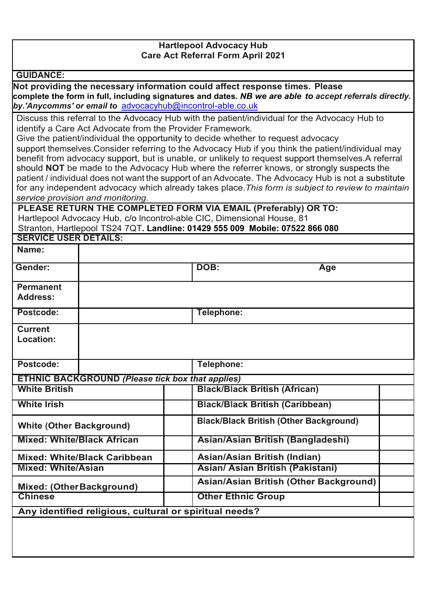## **Hartlepool Advocacy Hub Care Act Referral Form April 2021**

| <b>GUIDANCE:</b> |  |  |
|------------------|--|--|

**SERVICE USER DETAILS:**

**Not providing the necessary information could affect response times. Please complete the form in full, including signatures and dates.** *NB we are able to accept referrals directly. by.'Anycomms' or email to* [advocacyhub@incontrol-able.co.uk](mailto:advocacyhub@incontrol-able.co.uk)

Discuss this referral to the Advocacy Hub with the patient/individual for the Advocacy Hub to identify a Care Act Advocate from the Provider Framework.

Give the patient/individual the opportunity to decide whether to request advocacy

support themselves.Consider referring to the Advocacy Hub if you think the patient/individual may benefit from advocacy support, but is unable, or unlikely to request support themselves.A referral should **NOT** be made to the Advocacy Hub where the referrer knows, or strongly suspects the patient / individual does not want the support of an Advocate. The Advocacy Hub is not a substitute for any independent advocacy which already takes place.*This form is subject to review to maintain service provision and monitoring.*

**PLEASE RETURN THE COMPLETED FORM VIA EMAIL (Preferably) OR TO:** Hartlepool Advocacy Hub, c/o lncontrol-able CIC, Dimensional House, 81 Stranton, Hartlepool TS24 7QT**. Landline: 01429 555 009 Mobile: 07522 866 080**

| Name:                                                  |                                                         |                                               |  |
|--------------------------------------------------------|---------------------------------------------------------|-----------------------------------------------|--|
| Gender:                                                |                                                         | DOB:<br>Age                                   |  |
| <b>Permanent</b><br><b>Address:</b>                    |                                                         |                                               |  |
| Postcode:                                              |                                                         | Telephone:                                    |  |
| <b>Current</b><br>Location:                            |                                                         |                                               |  |
| Postcode:                                              | Telephone:                                              |                                               |  |
|                                                        | <b>ETHNIC BACKGROUND (Please tick box that applies)</b> |                                               |  |
| <b>White British</b>                                   |                                                         | <b>Black/Black British (African)</b>          |  |
| <b>White Irish</b>                                     |                                                         | <b>Black/Black British (Caribbean)</b>        |  |
| <b>White (Other Background)</b>                        |                                                         | <b>Black/Black British (Other Background)</b> |  |
| <b>Mixed: White/Black African</b>                      |                                                         | Asian/Asian British (Bangladeshi)             |  |
|                                                        | <b>Mixed: White/Black Caribbean</b>                     | Asian/Asian British (Indian)                  |  |
| <b>Mixed: White/Asian</b>                              |                                                         | Asian/ Asian British (Pakistani)              |  |
| Mixed: (OtherBackground)                               |                                                         | Asian/Asian British (Other Background)        |  |
| <b>Chinese</b>                                         |                                                         | <b>Other Ethnic Group</b>                     |  |
| Any identified religious, cultural or spiritual needs? |                                                         |                                               |  |
|                                                        |                                                         |                                               |  |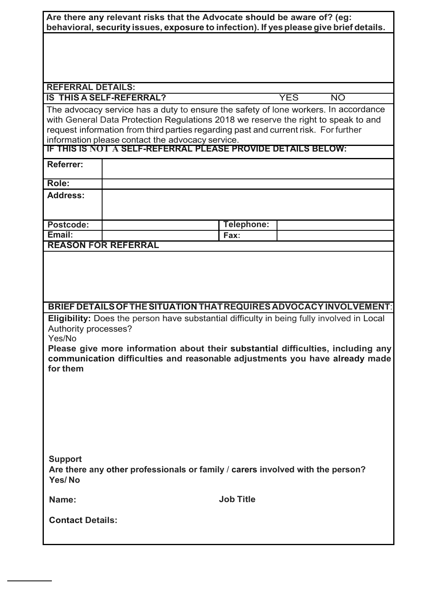| Are there any relevant risks that the Advocate should be aware of? (eg:<br>behavioral, security issues, exposure to infection). If yes please give brief details.                       |                                                                                                                  |                  |                         |
|-----------------------------------------------------------------------------------------------------------------------------------------------------------------------------------------|------------------------------------------------------------------------------------------------------------------|------------------|-------------------------|
|                                                                                                                                                                                         |                                                                                                                  |                  |                         |
|                                                                                                                                                                                         |                                                                                                                  |                  |                         |
|                                                                                                                                                                                         |                                                                                                                  |                  |                         |
| <b>REFERRAL DETAILS:</b>                                                                                                                                                                | <b>IS THIS A SELF-REFERRAL?</b>                                                                                  |                  | <b>YES</b><br><b>NO</b> |
|                                                                                                                                                                                         | The advocacy service has a duty to ensure the safety of lone workers. In accordance                              |                  |                         |
|                                                                                                                                                                                         | with General Data Protection Regulations 2018 we reserve the right to speak to and                               |                  |                         |
|                                                                                                                                                                                         | request information from third parties regarding past and current risk. For further                              |                  |                         |
|                                                                                                                                                                                         | information please contact the advocacy service.<br>IF THIS IS NOT A SELF-REFERRAL PLEASE PROVIDE DETAILS BELOW: |                  |                         |
| <b>Referrer:</b>                                                                                                                                                                        |                                                                                                                  |                  |                         |
| Role:                                                                                                                                                                                   |                                                                                                                  |                  |                         |
| <b>Address:</b>                                                                                                                                                                         |                                                                                                                  |                  |                         |
|                                                                                                                                                                                         |                                                                                                                  |                  |                         |
| <b>Postcode:</b>                                                                                                                                                                        |                                                                                                                  | Telephone:       |                         |
| Email:                                                                                                                                                                                  | <b>REASON FOR REFERRAL</b>                                                                                       | Fax:             |                         |
|                                                                                                                                                                                         |                                                                                                                  |                  |                         |
| BRIEF DETAILS OF THE SITUATION THAT REQUIRES ADVOCACY INVOLVEMENT:<br>Eligibility: Does the person have substantial difficulty in being fully involved in Local<br>Authority processes? |                                                                                                                  |                  |                         |
| Yes/No<br>Please give more information about their substantial difficulties, including any<br>communication difficulties and reasonable adjustments you have already made               |                                                                                                                  |                  |                         |
| for them                                                                                                                                                                                |                                                                                                                  |                  |                         |
|                                                                                                                                                                                         |                                                                                                                  |                  |                         |
|                                                                                                                                                                                         |                                                                                                                  |                  |                         |
|                                                                                                                                                                                         |                                                                                                                  |                  |                         |
|                                                                                                                                                                                         |                                                                                                                  |                  |                         |
| <b>Support</b>                                                                                                                                                                          |                                                                                                                  |                  |                         |
| Are there any other professionals or family / carers involved with the person?<br>Yes/No                                                                                                |                                                                                                                  |                  |                         |
| Name:                                                                                                                                                                                   |                                                                                                                  | <b>Job Title</b> |                         |
| <b>Contact Details:</b>                                                                                                                                                                 |                                                                                                                  |                  |                         |
|                                                                                                                                                                                         |                                                                                                                  |                  |                         |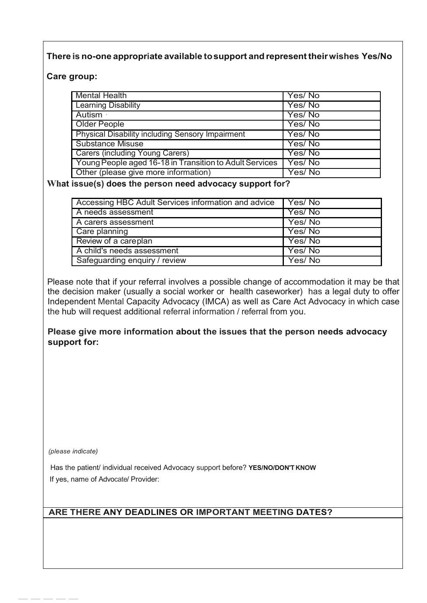# **There is no-one appropriate available tosupport and representtheirwishes Yes/No**

## **Care group:**

| <b>Mental Health</b>                                    | Yes/No |
|---------------------------------------------------------|--------|
| <b>Learning Disability</b>                              | Yes/No |
| Autism ·                                                | Yes/No |
| Older People                                            | Yes/No |
| <b>Physical Disability including Sensory Impairment</b> | Yes/No |
| Substance Misuse                                        | Yes/No |
| <b>Carers (including Young Carers)</b>                  | Yes/No |
| Young People aged 16-18 in Transition to Adult Services | Yes/No |
| Other (please give more information)                    | Yes/No |

#### **What issue(s) does the person need advocacy support for?**

| Accessing HBC Adult Services information and advice | Yes/No |
|-----------------------------------------------------|--------|
| A needs assessment                                  | Yes/No |
| A carers assessment                                 | Yes/No |
| Care planning                                       | Yes/No |
| Review of a careplan                                | Yes/No |
| A child's needs assessment                          | Yes/No |
| Safeguarding enquiry / review                       | Yes/No |

Please note that if your referral involves a possible change of accommodation it may be that the decision maker (usually a social worker or health caseworker) has a legal duty to offer Independent Mental Capacity Advocacy (IMCA) as well as Care Act Advocacy in which case the hub will request additional referral information / referral from you.

## **Please give more information about the issues that the person needs advocacy support for:**

*(please indicate)*

-----

Has the patient/ individual received Advocacy support before? **YES/NO/DON'T KNOW** If yes, name of Advocate/ Provider:

# **ARE THERE ANY DEADLINES OR IMPORTANT MEETING DATES?**